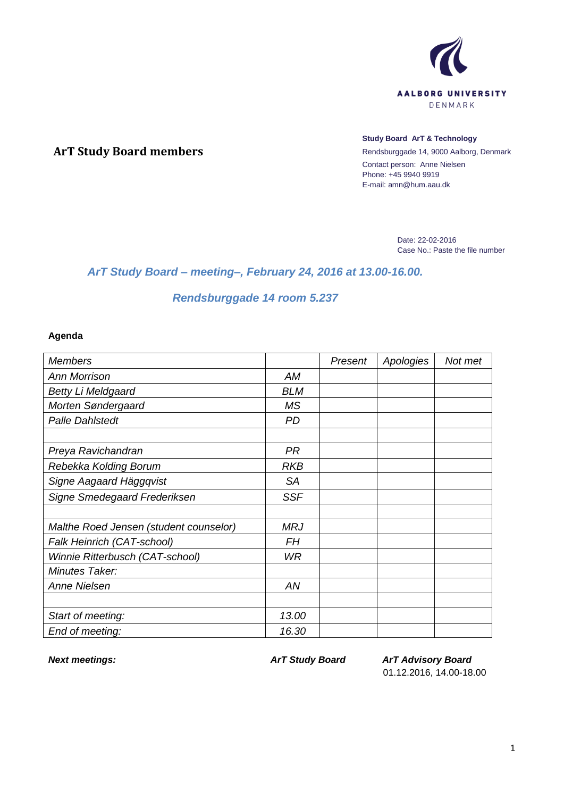

## **ArT Study Board members**

#### **Study Board ArT & Technology**

Rendsburggade 14, 9000 Aalborg, Denmark Contact person: Anne Nielsen Phone: +45 9940 9919 E-mail: amn@hum.aau.dk

> Date: 22-02-2016 Case No.: Paste the file number

# *ArT Study Board – meeting–, February 24, 2016 at 13.00-16.00.*

# *Rendsburggade 14 room 5.237*

#### **Agenda**

| <b>Members</b>                         |            | Present | Apologies | Not met |
|----------------------------------------|------------|---------|-----------|---------|
| <b>Ann Morrison</b>                    | AM         |         |           |         |
| <b>Betty Li Meldgaard</b>              | <b>BLM</b> |         |           |         |
| Morten Søndergaard                     | <b>MS</b>  |         |           |         |
| <b>Palle Dahlstedt</b>                 | <b>PD</b>  |         |           |         |
|                                        |            |         |           |         |
| Preya Ravichandran                     | PR         |         |           |         |
| Rebekka Kolding Borum                  | <b>RKB</b> |         |           |         |
| Signe Aagaard Häggqvist                | <b>SA</b>  |         |           |         |
| Signe Smedegaard Frederiksen           | <b>SSF</b> |         |           |         |
|                                        |            |         |           |         |
| Malthe Roed Jensen (student counselor) | <b>MRJ</b> |         |           |         |
| Falk Heinrich (CAT-school)             | FΗ         |         |           |         |
| Winnie Ritterbusch (CAT-school)        | <b>WR</b>  |         |           |         |
| Minutes Taker:                         |            |         |           |         |
| Anne Nielsen                           | AN         |         |           |         |
|                                        |            |         |           |         |
| Start of meeting:                      | 13.00      |         |           |         |
| End of meeting:                        | 16.30      |         |           |         |

*Next meetings: ArT Study Board ArT Advisory Board* 01.12.2016, 14.00-18.00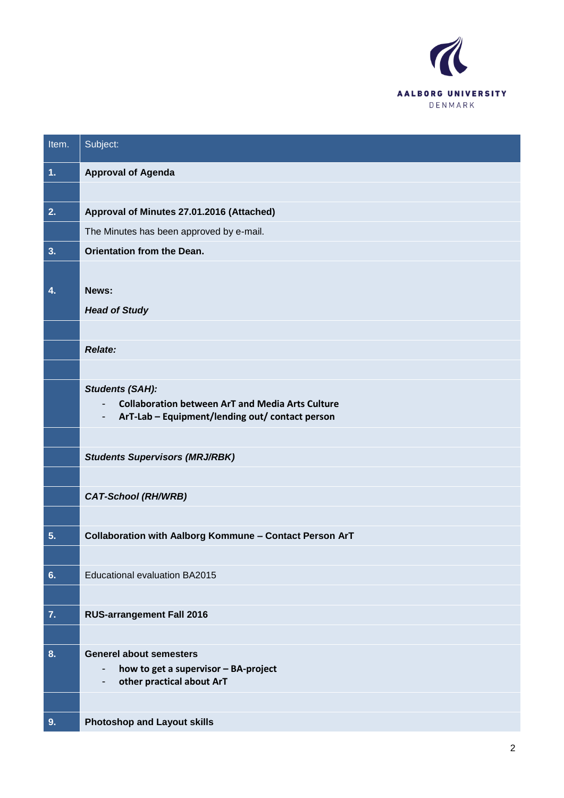

| Item. | Subject:                                                                                                                                                              |
|-------|-----------------------------------------------------------------------------------------------------------------------------------------------------------------------|
| 1.    | <b>Approval of Agenda</b>                                                                                                                                             |
|       |                                                                                                                                                                       |
| 2.    | Approval of Minutes 27.01.2016 (Attached)                                                                                                                             |
|       | The Minutes has been approved by e-mail.                                                                                                                              |
| 3.    | Orientation from the Dean.                                                                                                                                            |
|       |                                                                                                                                                                       |
| 4.    | News:                                                                                                                                                                 |
|       | <b>Head of Study</b>                                                                                                                                                  |
|       |                                                                                                                                                                       |
|       | <b>Relate:</b>                                                                                                                                                        |
|       |                                                                                                                                                                       |
|       | <b>Students (SAH):</b><br><b>Collaboration between ArT and Media Arts Culture</b><br>$\overline{\phantom{0}}$<br>ArT-Lab - Equipment/lending out/ contact person<br>- |
|       |                                                                                                                                                                       |
|       | <b>Students Supervisors (MRJ/RBK)</b>                                                                                                                                 |
|       |                                                                                                                                                                       |
|       | <b>CAT-School (RH/WRB)</b>                                                                                                                                            |
|       |                                                                                                                                                                       |
| 5.    | Collaboration with Aalborg Kommune - Contact Person ArT                                                                                                               |
|       |                                                                                                                                                                       |
| 6.    | <b>Educational evaluation BA2015</b>                                                                                                                                  |
|       |                                                                                                                                                                       |
| 7.    | <b>RUS-arrangement Fall 2016</b>                                                                                                                                      |
|       |                                                                                                                                                                       |
| 8.    | <b>Generel about semesters</b><br>how to get a supervisor - BA-project<br>-<br>other practical about ArT<br>-                                                         |
|       |                                                                                                                                                                       |
| 9.    | <b>Photoshop and Layout skills</b>                                                                                                                                    |